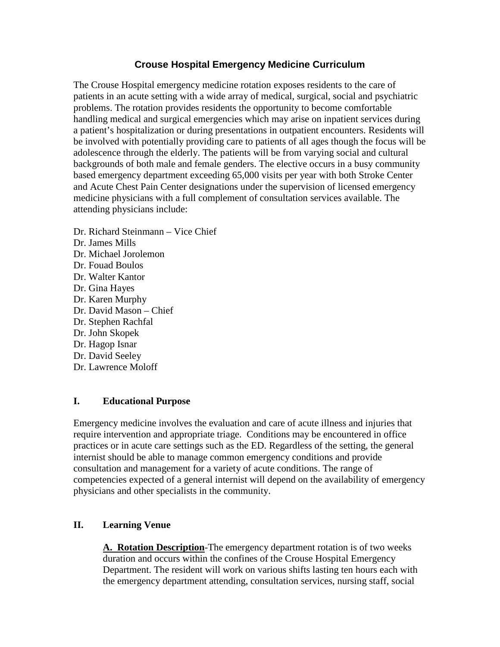# **Crouse Hospital Emergency Medicine Curriculum**

The Crouse Hospital emergency medicine rotation exposes residents to the care of patients in an acute setting with a wide array of medical, surgical, social and psychiatric problems. The rotation provides residents the opportunity to become comfortable handling medical and surgical emergencies which may arise on inpatient services during a patient's hospitalization or during presentations in outpatient encounters. Residents will be involved with potentially providing care to patients of all ages though the focus will be adolescence through the elderly. The patients will be from varying social and cultural backgrounds of both male and female genders. The elective occurs in a busy community based emergency department exceeding 65,000 visits per year with both Stroke Center and Acute Chest Pain Center designations under the supervision of licensed emergency medicine physicians with a full complement of consultation services available. The attending physicians include:

Dr. Richard Steinmann – Vice Chief Dr. James Mills Dr. Michael Jorolemon Dr. Fouad Boulos Dr. Walter Kantor Dr. Gina Hayes Dr. Karen Murphy Dr. David Mason – Chief Dr. Stephen Rachfal Dr. John Skopek Dr. Hagop Isnar Dr. David Seeley Dr. Lawrence Moloff

### **I. Educational Purpose**

Emergency medicine involves the evaluation and care of acute illness and injuries that require intervention and appropriate triage. Conditions may be encountered in office practices or in acute care settings such as the ED. Regardless of the setting, the general internist should be able to manage common emergency conditions and provide consultation and management for a variety of acute conditions. The range of competencies expected of a general internist will depend on the availability of emergency physicians and other specialists in the community.

# **II. Learning Venue**

**A. Rotation Description**-The emergency department rotation is of two weeks duration and occurs within the confines of the Crouse Hospital Emergency Department. The resident will work on various shifts lasting ten hours each with the emergency department attending, consultation services, nursing staff, social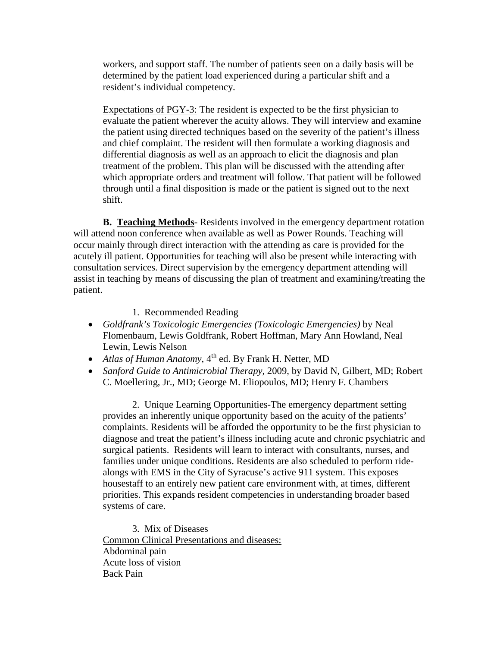workers, and support staff. The number of patients seen on a daily basis will be determined by the patient load experienced during a particular shift and a resident's individual competency.

Expectations of PGY-3: The resident is expected to be the first physician to evaluate the patient wherever the acuity allows. They will interview and examine the patient using directed techniques based on the severity of the patient's illness and chief complaint. The resident will then formulate a working diagnosis and differential diagnosis as well as an approach to elicit the diagnosis and plan treatment of the problem. This plan will be discussed with the attending after which appropriate orders and treatment will follow. That patient will be followed through until a final disposition is made or the patient is signed out to the next shift.

**B. Teaching Methods**- Residents involved in the emergency department rotation will attend noon conference when available as well as Power Rounds. Teaching will occur mainly through direct interaction with the attending as care is provided for the acutely ill patient. Opportunities for teaching will also be present while interacting with consultation services. Direct supervision by the emergency department attending will assist in teaching by means of discussing the plan of treatment and examining/treating the patient.

#### 1. Recommended Reading

- *Goldfrank's Toxicologic Emergencies (Toxicologic Emergencies)* by Neal Flomenbaum, Lewis Goldfrank, Robert Hoffman, Mary Ann Howland, Neal Lewin, Lewis Nelson
- *Atlas of Human Anatomy*, 4<sup>th</sup> ed. By Frank H. Netter, MD
- *Sanford Guide to Antimicrobial Therapy*, 2009, by David N, Gilbert, MD; Robert C. Moellering, Jr., MD; George M. Eliopoulos, MD; Henry F. Chambers

2. Unique Learning Opportunities-The emergency department setting provides an inherently unique opportunity based on the acuity of the patients' complaints. Residents will be afforded the opportunity to be the first physician to diagnose and treat the patient's illness including acute and chronic psychiatric and surgical patients. Residents will learn to interact with consultants, nurses, and families under unique conditions. Residents are also scheduled to perform ridealongs with EMS in the City of Syracuse's active 911 system. This exposes housestaff to an entirely new patient care environment with, at times, different priorities. This expands resident competencies in understanding broader based systems of care.

3. Mix of Diseases Common Clinical Presentations and diseases: Abdominal pain Acute loss of vision Back Pain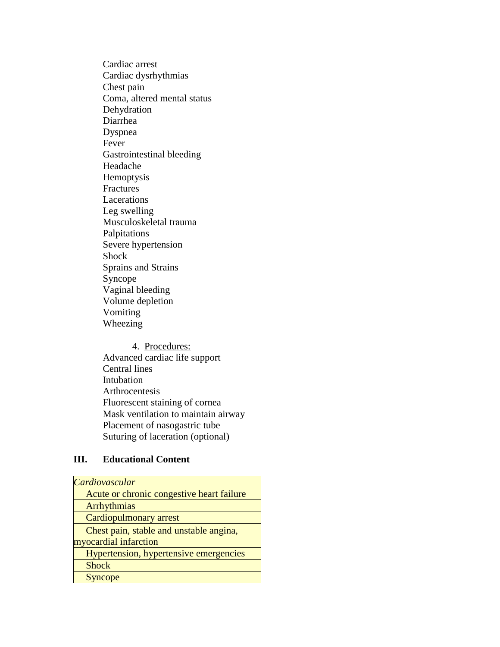Cardiac arrest Cardiac dysrhythmias Chest pain Coma, altered mental status Dehydration Diarrhea Dyspnea Fever Gastrointestinal bleeding Headache Hemoptysis Fractures Lacerations Leg swelling Musculoskeletal trauma Palpitations Severe hypertension Shock Sprains and Strains Syncope Vaginal bleeding Volume depletion Vomiting Wheezing

4. Procedures: Advanced cardiac life support Central lines Intubation Arthrocentesis Fluorescent staining of cornea Mask ventilation to maintain airway Placement of nasogastric tube Suturing of laceration (optional)

### **III. Educational Content**

| Cardiovascular                            |
|-------------------------------------------|
| Acute or chronic congestive heart failure |
| Arrhythmias                               |
| <b>Cardiopulmonary arrest</b>             |
| Chest pain, stable and unstable angina,   |
| myocardial infarction                     |
| Hypertension, hypertensive emergencies    |
| <b>Shock</b>                              |
| <b>Syncope</b>                            |
|                                           |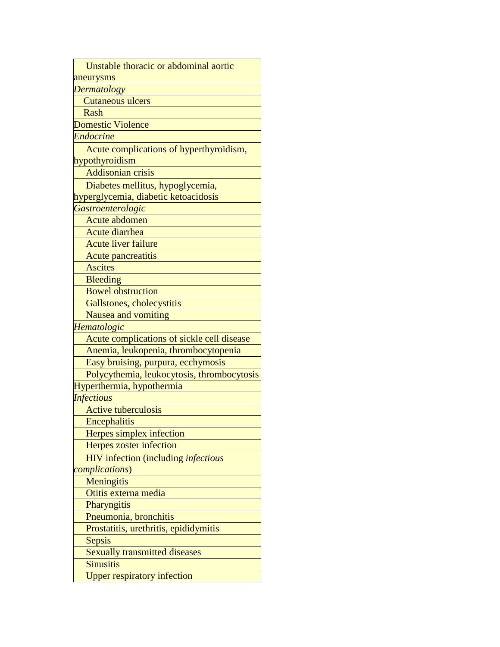Unstable thoracic or abdominal aortic aneurysms

*Dermatology*

Cutaneous ulcers

Rash

Domestic Violence

*Endocrine*

 Acute complications of hyperthyroidism, hypothyroidism

Addisonian crisis

Diabetes mellitus, hypoglycemia,

hyperglycemia, diabetic ketoacidosis

*Gastroenterologic*

Acute abdomen

Acute diarrhea

Acute liver failure

Acute pancreatitis

**Ascites** 

Bleeding

Bowel obstruction

Gallstones, cholecystitis

Nausea and vomiting

*Hematologic*

Acute complications of sickle cell disease

Anemia, leukopenia, thrombocytopenia

Easy bruising, purpura, ecchymosis

Polycythemia, leukocytosis, thrombocytosis

Hyperthermia, hypothermia

*Infectious*

Active tuberculosis

**Encephalitis** 

Herpes simplex infection

Herpes zoster infection

 HIV infection (including *infectious complications*)

**Meningitis** 

Otitis externa media

**Pharyngitis** Pneumonia, bronchitis

Prostatitis, urethritis, epididymitis

Sepsis

Sexually transmitted diseases

**Sinusitis** 

Upper respiratory infection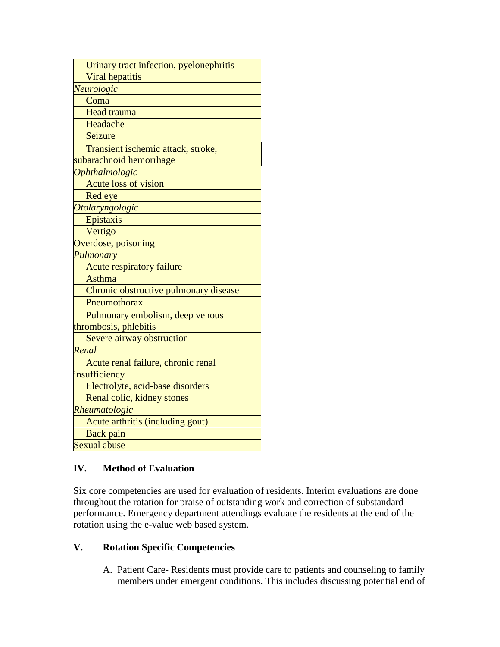| Urinary tract infection, pyelonephritis |  |
|-----------------------------------------|--|
| <b>Viral hepatitis</b>                  |  |
| Neurologic                              |  |
| Coma                                    |  |
| <b>Head trauma</b>                      |  |
| Headache                                |  |
| Seizure                                 |  |
| Transient ischemic attack, stroke,      |  |
| subarachnoid hemorrhage                 |  |
| <b>Ophthalmologic</b>                   |  |
| <b>Acute loss of vision</b>             |  |
| Red eye                                 |  |
| Otolaryngologic                         |  |
| Epistaxis                               |  |
| Vertigo                                 |  |
| Overdose, poisoning                     |  |
| Pulmonary                               |  |
| <b>Acute respiratory failure</b>        |  |
| <b>Asthma</b>                           |  |
| Chronic obstructive pulmonary disease   |  |
| Pneumothorax                            |  |
| Pulmonary embolism, deep venous         |  |
| thrombosis, phlebitis                   |  |
| Severe airway obstruction               |  |
| Renal                                   |  |
| Acute renal failure, chronic renal      |  |
| insufficiency                           |  |
| Electrolyte, acid-base disorders        |  |
| Renal colic, kidney stones              |  |
| Rheumatologic                           |  |
| Acute arthritis (including gout)        |  |
| <b>Back</b> pain                        |  |
| <b>Sexual abuse</b>                     |  |

# **IV. Method of Evaluation**

Six core competencies are used for evaluation of residents. Interim evaluations are done throughout the rotation for praise of outstanding work and correction of substandard performance. Emergency department attendings evaluate the residents at the end of the rotation using the e-value web based system.

### **V. Rotation Specific Competencies**

A. Patient Care- Residents must provide care to patients and counseling to family members under emergent conditions. This includes discussing potential end of